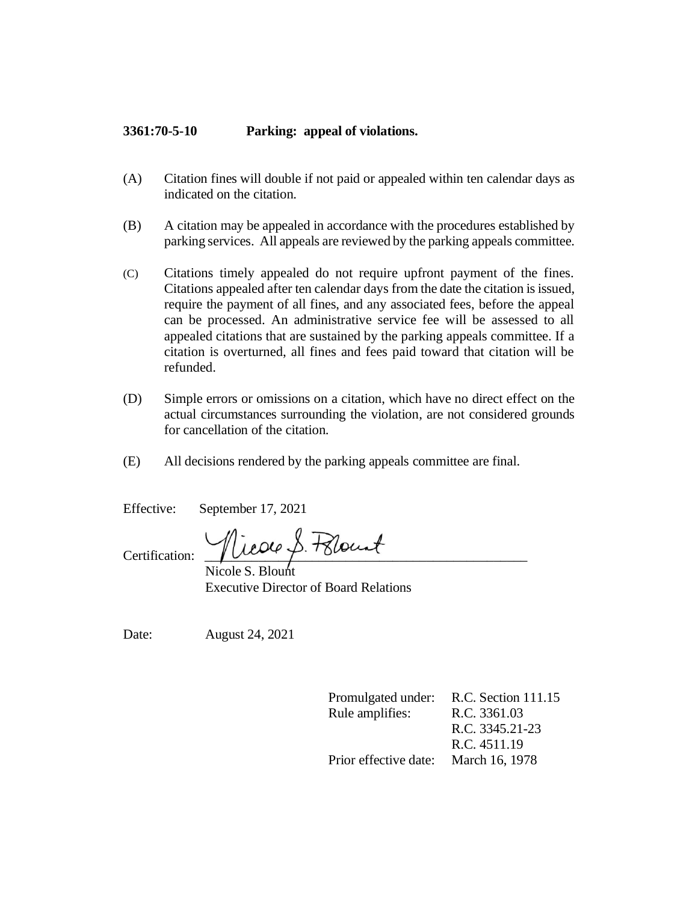## **3361:70-5-10 Parking: appeal of violations.**

- (A) Citation fines will double if not paid or appealed within ten calendar days as indicated on the citation.
- (B) A citation may be appealed in accordance with the procedures established by parking services. All appeals are reviewed by the parking appeals committee.
- (C) Citations timely appealed do not require upfront payment of the fines. Citations appealed after ten calendar days from the date the citation is issued, require the payment of all fines, and any associated fees, before the appeal can be processed. An administrative service fee will be assessed to all appealed citations that are sustained by the parking appeals committee. If a citation is overturned, all fines and fees paid toward that citation will be refunded.
- (D) Simple errors or omissions on a citation, which have no direct effect on the actual circumstances surrounding the violation, are not considered grounds for cancellation of the citation.
- (E) All decisions rendered by the parking appeals committee are final.

Effective: September 17, 2021

Certification: Vicole S. Felocat

 Nicole S. Blount Executive Director of Board Relations

Date: August 24, 2021

Promulgated under: R.C. Section 111.15 Rule amplifies: R.C. 3361.03 R.C. 3345.21-23 R.C. 4511.19 Prior effective date: March 16, 1978